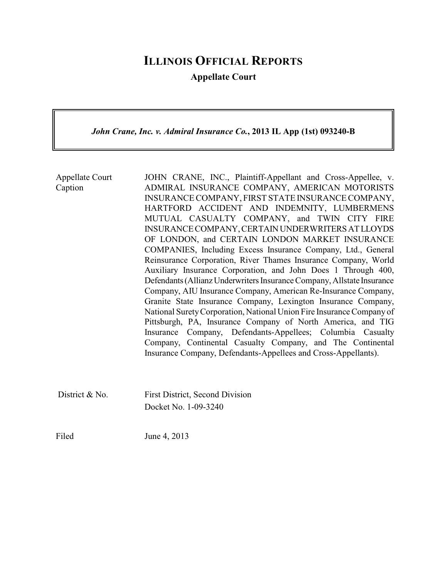# **ILLINOIS OFFICIAL REPORTS**

**Appellate Court**

*John Crane, Inc. v. Admiral Insurance Co.***, 2013 IL App (1st) 093240-B**

Appellate Court Caption JOHN CRANE, INC., Plaintiff-Appellant and Cross-Appellee, v. ADMIRAL INSURANCE COMPANY, AMERICAN MOTORISTS INSURANCE COMPANY, FIRST STATE INSURANCE COMPANY, HARTFORD ACCIDENT AND INDEMNITY, LUMBERMENS MUTUAL CASUALTY COMPANY, and TWIN CITY FIRE INSURANCECOMPANY,CERTAINUNDERWRITERSATLLOYDS OF LONDON, and CERTAIN LONDON MARKET INSURANCE COMPANIES, Including Excess Insurance Company, Ltd., General Reinsurance Corporation, River Thames Insurance Company, World Auxiliary Insurance Corporation, and John Does 1 Through 400, Defendants(Allianz Underwriters Insurance Company, Allstate Insurance Company, AIU Insurance Company, American Re-Insurance Company, Granite State Insurance Company, Lexington Insurance Company, National SuretyCorporation, National Union Fire Insurance Company of Pittsburgh, PA, Insurance Company of North America, and TIG Insurance Company, Defendants-Appellees; Columbia Casualty Company, Continental Casualty Company, and The Continental Insurance Company, Defendants-Appellees and Cross-Appellants). District & No. First District, Second Division Docket No. 1-09-3240

Filed June 4, 2013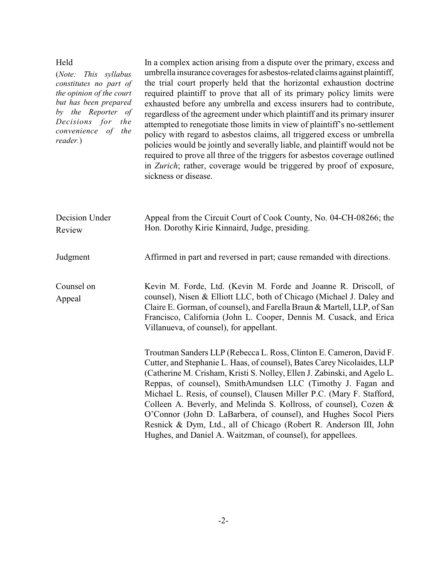| Held<br>(Note:<br>This syllabus<br>constitutes no part of<br>the opinion of the court<br>but has been prepared<br>by the Reporter of<br>Decisions for<br>the<br>convenience of<br>the<br>reader.) | In a complex action arising from a dispute over the primary, excess and<br>umbrella insurance coverages for asbestos-related claims against plaintiff,<br>the trial court properly held that the horizontal exhaustion doctrine<br>required plaintiff to prove that all of its primary policy limits were<br>exhausted before any umbrella and excess insurers had to contribute,<br>regardless of the agreement under which plaintiff and its primary insurer<br>attempted to renegotiate those limits in view of plaintiff's no-settlement<br>policy with regard to asbestos claims, all triggered excess or umbrella<br>policies would be jointly and severally liable, and plaintiff would not be<br>required to prove all three of the triggers for asbestos coverage outlined<br>in Zurich; rather, coverage would be triggered by proof of exposure,<br>sickness or disease. |
|---------------------------------------------------------------------------------------------------------------------------------------------------------------------------------------------------|-------------------------------------------------------------------------------------------------------------------------------------------------------------------------------------------------------------------------------------------------------------------------------------------------------------------------------------------------------------------------------------------------------------------------------------------------------------------------------------------------------------------------------------------------------------------------------------------------------------------------------------------------------------------------------------------------------------------------------------------------------------------------------------------------------------------------------------------------------------------------------------|
| Decision Under<br>Review                                                                                                                                                                          | Appeal from the Circuit Court of Cook County, No. 04-CH-08266; the<br>Hon. Dorothy Kirie Kinnaird, Judge, presiding.                                                                                                                                                                                                                                                                                                                                                                                                                                                                                                                                                                                                                                                                                                                                                                |
| Judgment                                                                                                                                                                                          | Affirmed in part and reversed in part; cause remanded with directions.                                                                                                                                                                                                                                                                                                                                                                                                                                                                                                                                                                                                                                                                                                                                                                                                              |
| Counsel on<br>Appeal                                                                                                                                                                              | Kevin M. Forde, Ltd. (Kevin M. Forde and Joanne R. Driscoll, of<br>counsel), Nisen & Elliott LLC, both of Chicago (Michael J. Daley and<br>Claire E. Gorman, of counsel), and Farella Braun & Martell, LLP, of San<br>Francisco, California (John L. Cooper, Dennis M. Cusack, and Erica<br>Villanueva, of counsel), for appellant.                                                                                                                                                                                                                                                                                                                                                                                                                                                                                                                                                 |
|                                                                                                                                                                                                   | Troutman Sanders LLP (Rebecca L. Ross, Clinton E. Cameron, David F.<br>Cutter, and Stephanie L. Haas, of counsel), Bates Carey Nicolaides, LLP<br>(Catherine M. Crisham, Kristi S. Nolley, Ellen J. Zabinski, and Agelo L.<br>Reppas, of counsel), SmithAmundsen LLC (Timothy J. Fagan and<br>Michael L. Resis, of counsel), Clausen Miller P.C. (Mary F. Stafford,<br>Colleen A. Beverly, and Melinda S. Kollross, of counsel), Cozen &<br>O'Connor (John D. LaBarbera, of counsel), and Hughes Socol Piers<br>Resnick & Dym, Ltd., all of Chicago (Robert R. Anderson III, John<br>Hughes, and Daniel A. Waitzman, of counsel), for appellees.                                                                                                                                                                                                                                    |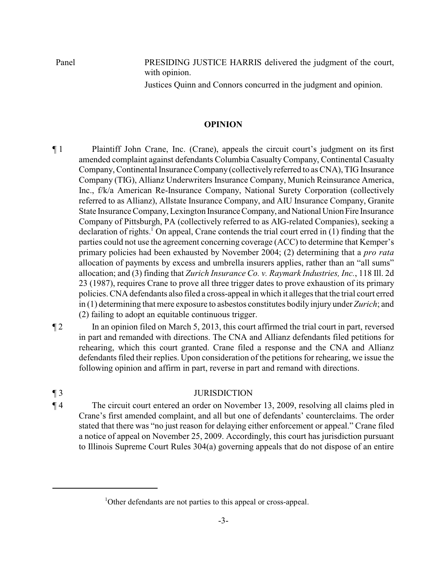Panel PRESIDING JUSTICE HARRIS delivered the judgment of the court, with opinion.

Justices Quinn and Connors concurred in the judgment and opinion.

## **OPINION**

- ¶ 1 Plaintiff John Crane, Inc. (Crane), appeals the circuit court's judgment on its first amended complaint against defendants Columbia Casualty Company, Continental Casualty Company, Continental Insurance Company (collectively referred to as CNA), TIG Insurance Company (TIG), Allianz Underwriters Insurance Company, Munich Reinsurance America, Inc., f/k/a American Re-Insurance Company, National Surety Corporation (collectively referred to as Allianz), Allstate Insurance Company, and AIU Insurance Company, Granite State Insurance Company, Lexington Insurance Company, and National Union Fire Insurance Company of Pittsburgh, PA (collectively referred to as AIG-related Companies), seeking a declaration of rights.<sup>1</sup> On appeal, Crane contends the trial court erred in  $(1)$  finding that the parties could not use the agreement concerning coverage (ACC) to determine that Kemper's primary policies had been exhausted by November 2004; (2) determining that a *pro rata* allocation of payments by excess and umbrella insurers applies, rather than an "all sums" allocation; and (3) finding that *Zurich Insurance Co. v. Raymark Industries, Inc.*, 118 Ill. 2d 23 (1987), requires Crane to prove all three trigger dates to prove exhaustion of its primary policies. CNA defendants also filed a cross-appeal in which it alleges that the trial court erred in (1) determining that mere exposure to asbestos constitutes bodily injury under *Zurich*; and (2) failing to adopt an equitable continuous trigger.
- 

¶ 2 In an opinion filed on March 5, 2013, this court affirmed the trial court in part, reversed in part and remanded with directions. The CNA and Allianz defendants filed petitions for rehearing, which this court granted. Crane filed a response and the CNA and Allianz defendants filed their replies. Upon consideration of the petitions for rehearing, we issue the following opinion and affirm in part, reverse in part and remand with directions.

## ¶ 3 JURISDICTION

¶ 4 The circuit court entered an order on November 13, 2009, resolving all claims pled in Crane's first amended complaint, and all but one of defendants' counterclaims. The order stated that there was "no just reason for delaying either enforcement or appeal." Crane filed a notice of appeal on November 25, 2009. Accordingly, this court has jurisdiction pursuant to Illinois Supreme Court Rules 304(a) governing appeals that do not dispose of an entire

<sup>&</sup>lt;sup>1</sup>Other defendants are not parties to this appeal or cross-appeal.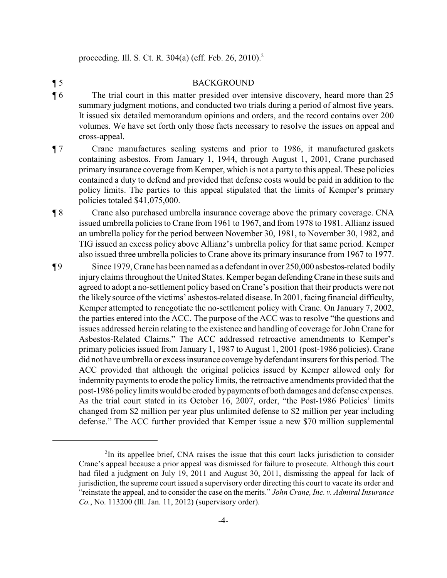proceeding. Ill. S. Ct. R. 304(a) (eff. Feb. 26, 2010).<sup>2</sup>

## ¶ 5 BACKGROUND

- ¶ 6 The trial court in this matter presided over intensive discovery, heard more than 25 summary judgment motions, and conducted two trials during a period of almost five years. It issued six detailed memorandum opinions and orders, and the record contains over 200 volumes. We have set forth only those facts necessary to resolve the issues on appeal and cross-appeal.
- ¶ 7 Crane manufactures sealing systems and prior to 1986, it manufactured gaskets containing asbestos. From January 1, 1944, through August 1, 2001, Crane purchased primary insurance coverage from Kemper, which is not a party to this appeal. These policies contained a duty to defend and provided that defense costs would be paid in addition to the policy limits. The parties to this appeal stipulated that the limits of Kemper's primary policies totaled \$41,075,000.
- ¶ 8 Crane also purchased umbrella insurance coverage above the primary coverage. CNA issued umbrella policies to Crane from 1961 to 1967, and from 1978 to 1981. Allianz issued an umbrella policy for the period between November 30, 1981, to November 30, 1982, and TIG issued an excess policy above Allianz's umbrella policy for that same period. Kemper also issued three umbrella policies to Crane above its primary insurance from 1967 to 1977.
- ¶ 9 Since 1979, Crane has been named as a defendant in over 250,000 asbestos-related bodily injuryclaims throughout the United States. Kemper began defending Crane in these suits and agreed to adopt a no-settlement policy based on Crane's position that their products were not the likely source of the victims' asbestos-related disease. In 2001, facing financial difficulty, Kemper attempted to renegotiate the no-settlement policy with Crane. On January 7, 2002, the parties entered into the ACC. The purpose of the ACC was to resolve "the questions and issues addressed herein relating to the existence and handling of coverage for John Crane for Asbestos-Related Claims." The ACC addressed retroactive amendments to Kemper's primary policies issued from January 1, 1987 to August 1, 2001 (post-1986 policies). Crane did not have umbrella or excess insurance coverage bydefendant insurers for this period. The ACC provided that although the original policies issued by Kemper allowed only for indemnity payments to erode the policy limits, the retroactive amendments provided that the post-1986 policylimits would be eroded bypayments of both damages and defense expenses. As the trial court stated in its October 16, 2007, order, "the Post-1986 Policies' limits changed from \$2 million per year plus unlimited defense to \$2 million per year including defense." The ACC further provided that Kemper issue a new \$70 million supplemental

 $2$ In its appellee brief, CNA raises the issue that this court lacks jurisdiction to consider Crane's appeal because a prior appeal was dismissed for failure to prosecute. Although this court had filed a judgment on July 19, 2011 and August 30, 2011, dismissing the appeal for lack of jurisdiction, the supreme court issued a supervisory order directing this court to vacate its order and "reinstate the appeal, and to consider the case on the merits." *John Crane, Inc. v. Admiral Insurance Co.*, No. 113200 (Ill. Jan. 11, 2012) (supervisory order).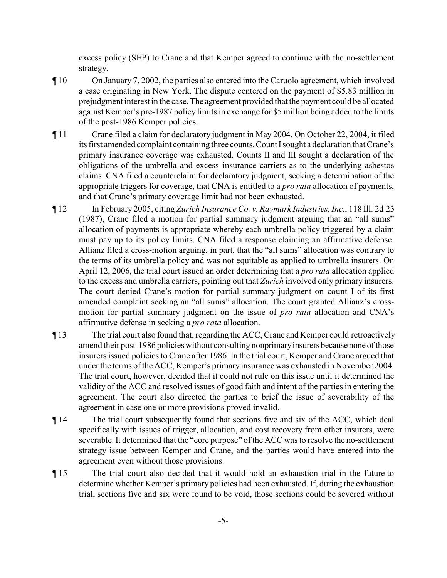excess policy (SEP) to Crane and that Kemper agreed to continue with the no-settlement strategy.

- ¶ 10 On January 7, 2002, the parties also entered into the Caruolo agreement, which involved a case originating in New York. The dispute centered on the payment of \$5.83 million in prejudgment interest in the case. The agreement provided that the payment could be allocated against Kemper's pre-1987 policy limits in exchange for \$5 million being added to the limits of the post-1986 Kemper policies.
- ¶ 11 Crane filed a claim for declaratory judgment in May 2004. On October 22, 2004, it filed its first amended complaint containing three counts.Count Isought a declaration that Crane's primary insurance coverage was exhausted. Counts II and III sought a declaration of the obligations of the umbrella and excess insurance carriers as to the underlying asbestos claims. CNA filed a counterclaim for declaratory judgment, seeking a determination of the appropriate triggers for coverage, that CNA is entitled to a *pro rata* allocation of payments, and that Crane's primary coverage limit had not been exhausted.
- ¶ 12 In February 2005, citing *Zurich Insurance Co. v. Raymark Industries, Inc.*, 118 Ill. 2d 23 (1987), Crane filed a motion for partial summary judgment arguing that an "all sums" allocation of payments is appropriate whereby each umbrella policy triggered by a claim must pay up to its policy limits. CNA filed a response claiming an affirmative defense. Allianz filed a cross-motion arguing, in part, that the "all sums" allocation was contrary to the terms of its umbrella policy and was not equitable as applied to umbrella insurers. On April 12, 2006, the trial court issued an order determining that a *pro rata* allocation applied to the excess and umbrella carriers, pointing out that *Zurich* involved only primary insurers. The court denied Crane's motion for partial summary judgment on count I of its first amended complaint seeking an "all sums" allocation. The court granted Allianz's crossmotion for partial summary judgment on the issue of *pro rata* allocation and CNA's affirmative defense in seeking a *pro rata* allocation.
- ¶ 13 The trial court also found that, regarding the ACC, Crane and Kemper could retroactively amend their post-1986 policies without consulting nonprimaryinsurers because none of those insurers issued policies to Crane after 1986. In the trial court, Kemper and Crane argued that under the terms of the ACC, Kemper's primary insurance was exhausted in November 2004. The trial court, however, decided that it could not rule on this issue until it determined the validity of the ACC and resolved issues of good faith and intent of the parties in entering the agreement. The court also directed the parties to brief the issue of severability of the agreement in case one or more provisions proved invalid.
- ¶ 14 The trial court subsequently found that sections five and six of the ACC, which deal specifically with issues of trigger, allocation, and cost recovery from other insurers, were severable. It determined that the "core purpose" of the ACC was to resolve the no-settlement strategy issue between Kemper and Crane, and the parties would have entered into the agreement even without those provisions.
- ¶ 15 The trial court also decided that it would hold an exhaustion trial in the future to determine whether Kemper's primary policies had been exhausted. If, during the exhaustion trial, sections five and six were found to be void, those sections could be severed without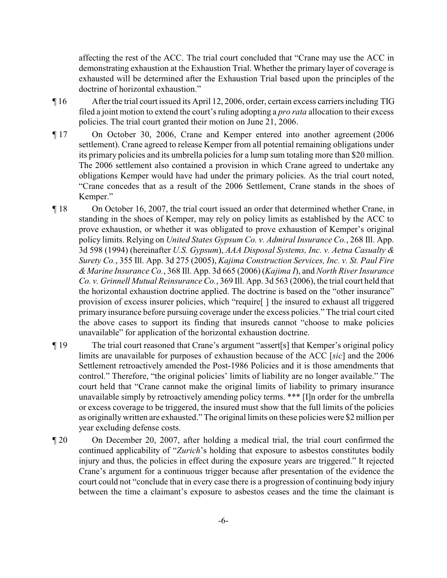affecting the rest of the ACC. The trial court concluded that "Crane may use the ACC in demonstrating exhaustion at the Exhaustion Trial. Whether the primary layer of coverage is exhausted will be determined after the Exhaustion Trial based upon the principles of the doctrine of horizontal exhaustion."

- ¶ 16 Afterthe trial court issued its April 12, 2006, order, certain excess carriers including TIG filed a joint motion to extend the court's ruling adopting a *pro rata* allocation to their excess policies. The trial court granted their motion on June 21, 2006.
- ¶ 17 On October 30, 2006, Crane and Kemper entered into another agreement (2006 settlement). Crane agreed to release Kemper from all potential remaining obligations under its primary policies and its umbrella policies for a lump sum totaling more than \$20 million. The 2006 settlement also contained a provision in which Crane agreed to undertake any obligations Kemper would have had under the primary policies. As the trial court noted, "Crane concedes that as a result of the 2006 Settlement, Crane stands in the shoes of Kemper."
- ¶ 18 On October 16, 2007, the trial court issued an order that determined whether Crane, in standing in the shoes of Kemper, may rely on policy limits as established by the ACC to prove exhaustion, or whether it was obligated to prove exhaustion of Kemper's original policy limits. Relying on *United States Gypsum Co. v. Admiral Insurance Co.*, 268 Ill. App. 3d 598 (1994) (hereinafter *U.S. Gypsum*), *AAA Disposal Systems, Inc. v. Aetna Casualty & Surety Co.*, 355 Ill. App. 3d 275 (2005), *Kajima Construction Services, Inc. v. St. Paul Fire & Marine Insurance Co.*, 368 Ill. App. 3d 665 (2006) (*Kajima I*), and *North River Insurance Co. v. Grinnell Mutual Reinsurance Co.*, 369 Ill. App. 3d 563 (2006), the trial court held that the horizontal exhaustion doctrine applied. The doctrine is based on the "other insurance" provision of excess insurer policies, which "require[ ] the insured to exhaust all triggered primary insurance before pursuing coverage under the excess policies." The trial court cited the above cases to support its finding that insureds cannot "choose to make policies unavailable" for application of the horizontal exhaustion doctrine.
- ¶ 19 The trial court reasoned that Crane's argument "assert[s] that Kemper's original policy limits are unavailable for purposes of exhaustion because of the ACC [*sic*] and the 2006 Settlement retroactively amended the Post-1986 Policies and it is those amendments that control." Therefore, "the original policies' limits of liability are no longer available." The court held that "Crane cannot make the original limits of liability to primary insurance unavailable simply by retroactively amending policy terms. \*\*\* [I]n order for the umbrella or excess coverage to be triggered, the insured must show that the full limits of the policies as originally written are exhausted." The original limits on these policies were \$2 million per year excluding defense costs.
- ¶ 20 On December 20, 2007, after holding a medical trial, the trial court confirmed the continued applicability of "*Zurich*'s holding that exposure to asbestos constitutes bodily injury and thus, the policies in effect during the exposure years are triggered." It rejected Crane's argument for a continuous trigger because after presentation of the evidence the court could not "conclude that in every case there is a progression of continuing body injury between the time a claimant's exposure to asbestos ceases and the time the claimant is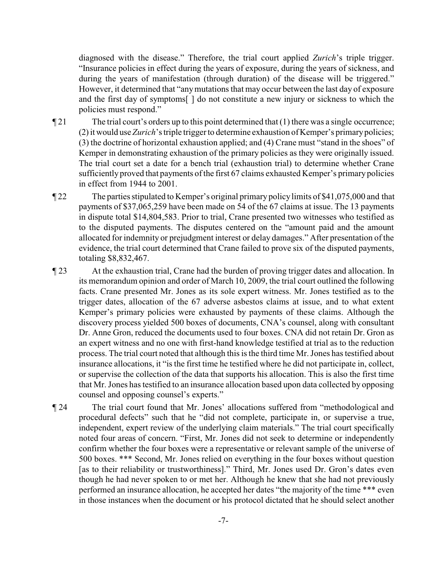diagnosed with the disease." Therefore, the trial court applied *Zurich*'s triple trigger. "Insurance policies in effect during the years of exposure, during the years of sickness, and during the years of manifestation (through duration) of the disease will be triggered." However, it determined that "anymutations that may occur between the last day of exposure and the first day of symptoms[ ] do not constitute a new injury or sickness to which the policies must respond."

 $\P$ 21 The trial court's orders up to this point determined that (1) there was a single occurrence; (2) it would use *Zurich*'s triple trigger to determine exhaustion of Kemper's primarypolicies; (3) the doctrine of horizontal exhaustion applied; and (4) Crane must "stand in the shoes" of Kemper in demonstrating exhaustion of the primary policies as they were originally issued. The trial court set a date for a bench trial (exhaustion trial) to determine whether Crane sufficiently proved that payments of the first 67 claims exhausted Kemper's primarypolicies in effect from 1944 to 2001.

- ¶ 22 The parties stipulated to Kemper's original primary policylimits of \$41,075,000 and that payments of \$37,065,259 have been made on 54 of the 67 claims at issue. The 13 payments in dispute total \$14,804,583. Prior to trial, Crane presented two witnesses who testified as to the disputed payments. The disputes centered on the "amount paid and the amount allocated for indemnity or prejudgment interest or delay damages." After presentation of the evidence, the trial court determined that Crane failed to prove six of the disputed payments, totaling \$8,832,467.
- ¶ 23 At the exhaustion trial, Crane had the burden of proving trigger dates and allocation. In its memorandum opinion and order of March 10, 2009, the trial court outlined the following facts. Crane presented Mr. Jones as its sole expert witness. Mr. Jones testified as to the trigger dates, allocation of the 67 adverse asbestos claims at issue, and to what extent Kemper's primary policies were exhausted by payments of these claims. Although the discovery process yielded 500 boxes of documents, CNA's counsel, along with consultant Dr. Anne Gron, reduced the documents used to four boxes. CNA did not retain Dr. Gron as an expert witness and no one with first-hand knowledge testified at trial as to the reduction process. The trial court noted that although this is the third time Mr. Jones has testified about insurance allocations, it "is the first time he testified where he did not participate in, collect, or supervise the collection of the data that supports his allocation. This is also the first time that Mr. Jones has testified to an insurance allocation based upon data collected by opposing counsel and opposing counsel's experts."
- ¶ 24 The trial court found that Mr. Jones' allocations suffered from "methodological and procedural defects" such that he "did not complete, participate in, or supervise a true, independent, expert review of the underlying claim materials." The trial court specifically noted four areas of concern. "First, Mr. Jones did not seek to determine or independently confirm whether the four boxes were a representative or relevant sample of the universe of 500 boxes. \*\*\* Second, Mr. Jones relied on everything in the four boxes without question [as to their reliability or trustworthiness]." Third, Mr. Jones used Dr. Gron's dates even though he had never spoken to or met her. Although he knew that she had not previously performed an insurance allocation, he accepted her dates "the majority of the time \*\*\* even in those instances when the document or his protocol dictated that he should select another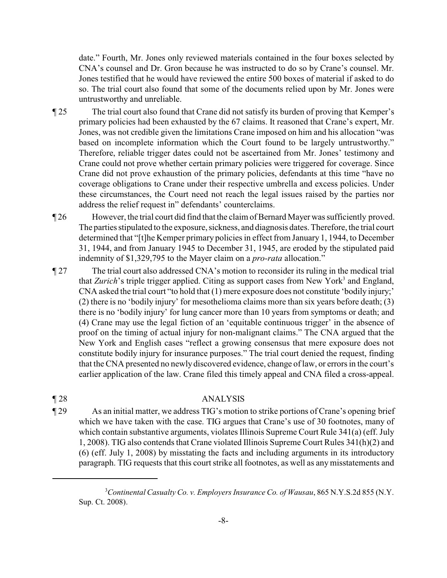date." Fourth, Mr. Jones only reviewed materials contained in the four boxes selected by CNA's counsel and Dr. Gron because he was instructed to do so by Crane's counsel. Mr. Jones testified that he would have reviewed the entire 500 boxes of material if asked to do so. The trial court also found that some of the documents relied upon by Mr. Jones were untrustworthy and unreliable.

- ¶ 25 The trial court also found that Crane did not satisfy its burden of proving that Kemper's primary policies had been exhausted by the 67 claims. It reasoned that Crane's expert, Mr. Jones, was not credible given the limitations Crane imposed on him and his allocation "was based on incomplete information which the Court found to be largely untrustworthy." Therefore, reliable trigger dates could not be ascertained from Mr. Jones' testimony and Crane could not prove whether certain primary policies were triggered for coverage. Since Crane did not prove exhaustion of the primary policies, defendants at this time "have no coverage obligations to Crane under their respective umbrella and excess policies. Under these circumstances, the Court need not reach the legal issues raised by the parties nor address the relief request in" defendants' counterclaims.
- ¶ 26 However, the trial court did find that the claim of Bernard Mayer was sufficiently proved. The parties stipulated to the exposure, sickness, and diagnosis dates. Therefore, the trial court determined that "[t]he Kemper primary policies in effect from January 1, 1944, to December 31, 1944, and from January 1945 to December 31, 1945, are eroded by the stipulated paid indemnity of \$1,329,795 to the Mayer claim on a *pro-rata* allocation."
- ¶ 27 The trial court also addressed CNA's motion to reconsider its ruling in the medical trial that *Zurich*'s triple trigger applied. Citing as support cases from New York<sup>3</sup> and England, CNA asked the trial court "to hold that (1) mere exposure does not constitute 'bodily injury;' (2) there is no 'bodily injury' for mesothelioma claims more than six years before death; (3) there is no 'bodily injury' for lung cancer more than 10 years from symptoms or death; and (4) Crane may use the legal fiction of an 'equitable continuous trigger' in the absence of proof on the timing of actual injury for non-malignant claims." The CNA argued that the New York and English cases "reflect a growing consensus that mere exposure does not constitute bodily injury for insurance purposes." The trial court denied the request, finding that the CNA presented no newly discovered evidence, change of law, or errors in the court's earlier application of the law. Crane filed this timely appeal and CNA filed a cross-appeal.

## ¶ 28 ANALYSIS

¶ 29 As an initial matter, we address TIG's motion to strike portions of Crane's opening brief which we have taken with the case. TIG argues that Crane's use of 30 footnotes, many of which contain substantive arguments, violates Illinois Supreme Court Rule 341(a) (eff. July 1, 2008). TIG also contends that Crane violated Illinois Supreme Court Rules 341(h)(2) and (6) (eff. July 1, 2008) by misstating the facts and including arguments in its introductory paragraph. TIG requests that this court strike all footnotes, as well as any misstatements and

<sup>&</sup>lt;sup>3</sup> Continental Casualty Co. v. Employers Insurance Co. of Wausau, 865 N.Y.S.2d 855 (N.Y. Sup. Ct. 2008).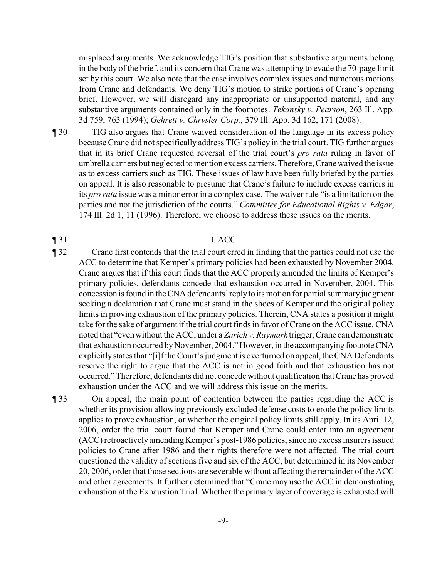misplaced arguments. We acknowledge TIG's position that substantive arguments belong in the body of the brief, and its concern that Crane was attempting to evade the 70-page limit set by this court. We also note that the case involves complex issues and numerous motions from Crane and defendants. We deny TIG's motion to strike portions of Crane's opening brief. However, we will disregard any inappropriate or unsupported material, and any substantive arguments contained only in the footnotes. *Tekansky v. Pearson*, 263 Ill. App. 3d 759, 763 (1994); *Gehrett v. Chrysler Corp.*, 379 Ill. App. 3d 162, 171 (2008).

¶ 30 TIG also argues that Crane waived consideration of the language in its excess policy because Crane did not specifically address TIG's policy in the trial court. TIG further argues that in its brief Crane requested reversal of the trial court's *pro rata* ruling in favor of umbrella carriers but neglected to mention excess carriers. Therefore, Crane waived the issue as to excess carriers such as TIG. These issues of law have been fully briefed by the parties on appeal. It is also reasonable to presume that Crane's failure to include excess carriers in its *pro rata* issue was a minor error in a complex case. The waiver rule "is a limitation on the parties and not the jurisdiction of the courts." *Committee for Educational Rights v. Edgar*, 174 Ill. 2d 1, 11 (1996). Therefore, we choose to address these issues on the merits.

## $\P$  31 I. ACC

¶ 32 Crane first contends that the trial court erred in finding that the parties could not use the ACC to determine that Kemper's primary policies had been exhausted by November 2004. Crane argues that if this court finds that the ACC properly amended the limits of Kemper's primary policies, defendants concede that exhaustion occurred in November, 2004. This concession is found in the CNA defendants' replyto its motion for partial summaryjudgment seeking a declaration that Crane must stand in the shoes of Kemper and the original policy limits in proving exhaustion of the primary policies. Therein, CNA states a position it might take for the sake of argument if the trial court finds in favor of Crane on the ACC issue. CNA noted that "even without the ACC, under a *Zurich v. Raymark* trigger, Crane can demonstrate that exhaustion occurred by November, 2004." However, in the accompanying footnote CNA explicitly states that "[i]f the Court's judgment is overturned on appeal, the CNA Defendants reserve the right to argue that the ACC is not in good faith and that exhaustion has not occurred." Therefore, defendants did not concede without qualification that Crane has proved exhaustion under the ACC and we will address this issue on the merits.

¶ 33 On appeal, the main point of contention between the parties regarding the ACC is whether its provision allowing previously excluded defense costs to erode the policy limits applies to prove exhaustion, or whether the original policy limits still apply. In its April 12, 2006, order the trial court found that Kemper and Crane could enter into an agreement (ACC) retroactively amending Kemper's post-1986 policies, since no excess insurers issued policies to Crane after 1986 and their rights therefore were not affected. The trial court questioned the validity of sections five and six of the ACC, but determined in its November 20, 2006, order that those sections are severable without affecting the remainder of the ACC and other agreements. It further determined that "Crane may use the ACC in demonstrating exhaustion at the Exhaustion Trial. Whether the primary layer of coverage is exhausted will

-9-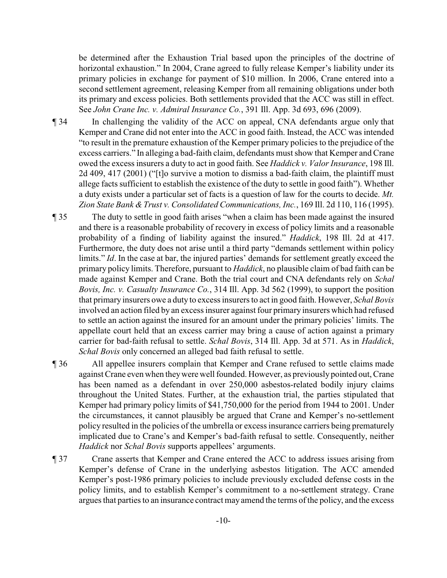be determined after the Exhaustion Trial based upon the principles of the doctrine of horizontal exhaustion." In 2004, Crane agreed to fully release Kemper's liability under its primary policies in exchange for payment of \$10 million. In 2006, Crane entered into a second settlement agreement, releasing Kemper from all remaining obligations under both its primary and excess policies. Both settlements provided that the ACC was still in effect. See *John Crane Inc. v. Admiral Insurance Co.*, 391 Ill. App. 3d 693, 696 (2009).

¶ 34 In challenging the validity of the ACC on appeal, CNA defendants argue only that Kemper and Crane did not enter into the ACC in good faith. Instead, the ACC was intended "to result in the premature exhaustion of the Kemper primary policies to the prejudice of the excess carriers." In alleging a bad-faith claim, defendants must show that Kemper and Crane owed the excess insurers a duty to act in good faith. See *Haddick v. Valor Insurance*, 198 Ill. 2d 409, 417 (2001) ("[t]o survive a motion to dismiss a bad-faith claim, the plaintiff must allege facts sufficient to establish the existence of the duty to settle in good faith"). Whether a duty exists under a particular set of facts is a question of law for the courts to decide. *Mt.* Zion State Bank & Trust v. Consolidated Communications, Inc., 169 Ill. 2d 110, 116 (1995).

- ¶ 35 The duty to settle in good faith arises "when a claim has been made against the insured and there is a reasonable probability of recovery in excess of policy limits and a reasonable probability of a finding of liability against the insured." *Haddick*, 198 Ill. 2d at 417. Furthermore, the duty does not arise until a third party "demands settlement within policy limits." *Id*. In the case at bar, the injured parties' demands for settlement greatly exceed the primary policy limits. Therefore, pursuant to *Haddick*, no plausible claim of bad faith can be made against Kemper and Crane. Both the trial court and CNA defendants rely on *Schal Bovis, Inc. v. Casualty Insurance Co.*, 314 Ill. App. 3d 562 (1999), to support the position that primary insurers owe a duty to excess insurers to act in good faith. However, *Schal Bovis* involved an action filed by an excess insurer against four primary insurers which had refused to settle an action against the insured for an amount under the primary policies' limits. The appellate court held that an excess carrier may bring a cause of action against a primary carrier for bad-faith refusal to settle. *Schal Bovis*, 314 Ill. App. 3d at 571. As in *Haddick*, *Schal Bovis* only concerned an alleged bad faith refusal to settle.
- ¶ 36 All appellee insurers complain that Kemper and Crane refused to settle claims made against Crane even when theywere well founded. However, as previously pointed out, Crane has been named as a defendant in over 250,000 asbestos-related bodily injury claims throughout the United States. Further, at the exhaustion trial, the parties stipulated that Kemper had primary policy limits of \$41,750,000 for the period from 1944 to 2001. Under the circumstances, it cannot plausibly be argued that Crane and Kemper's no-settlement policy resulted in the policies of the umbrella or excess insurance carriers being prematurely implicated due to Crane's and Kemper's bad-faith refusal to settle. Consequently, neither *Haddick* nor *Schal Bovis* supports appellees' arguments.
- ¶ 37 Crane asserts that Kemper and Crane entered the ACC to address issues arising from Kemper's defense of Crane in the underlying asbestos litigation. The ACC amended Kemper's post-1986 primary policies to include previously excluded defense costs in the policy limits, and to establish Kemper's commitment to a no-settlement strategy. Crane argues that parties to an insurance contract mayamend the terms of the policy, and the excess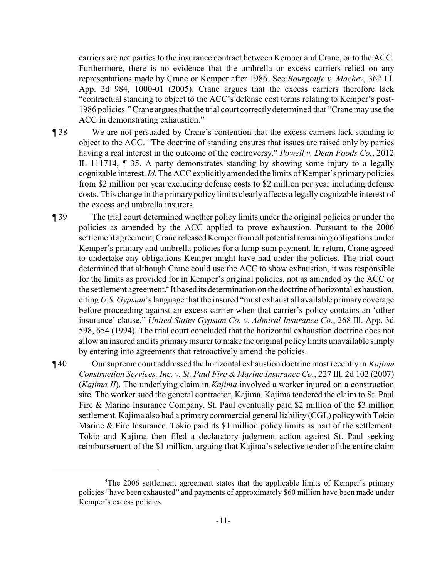carriers are not parties to the insurance contract between Kemper and Crane, or to the ACC. Furthermore, there is no evidence that the umbrella or excess carriers relied on any representations made by Crane or Kemper after 1986. See *Bourgonje v. Machev*, 362 Ill. App. 3d 984, 1000-01 (2005). Crane argues that the excess carriers therefore lack "contractual standing to object to the ACC's defense cost terms relating to Kemper's post-1986 policies." Crane argues that the trial court correctlydetermined that "Crane may use the ACC in demonstrating exhaustion."

¶ 38 We are not persuaded by Crane's contention that the excess carriers lack standing to object to the ACC. "The doctrine of standing ensures that issues are raised only by parties having a real interest in the outcome of the controversy." *Powell v. Dean Foods Co.*, 2012 IL 111714, ¶ 35. A party demonstrates standing by showing some injury to a legally cognizable interest. *Id*. The ACC explicitly amended the limits of Kemper's primarypolicies from \$2 million per year excluding defense costs to \$2 million per year including defense costs. This change in the primary policy limits clearly affects a legally cognizable interest of the excess and umbrella insurers.

¶ 39 The trial court determined whether policy limits under the original policies or under the policies as amended by the ACC applied to prove exhaustion. Pursuant to the 2006 settlement agreement, Crane released Kemper from all potential remaining obligations under Kemper's primary and umbrella policies for a lump-sum payment. In return, Crane agreed to undertake any obligations Kemper might have had under the policies. The trial court determined that although Crane could use the ACC to show exhaustion, it was responsible for the limits as provided for in Kemper's original policies, not as amended by the ACC or the settlement agreement.<sup>4</sup> It based its determination on the doctrine of horizontal exhaustion, citing *U.S. Gypsum*'s language that the insured "must exhaust all available primarycoverage before proceeding against an excess carrier when that carrier's policy contains an 'other insurance' clause." *United States Gypsum Co. v. Admiral Insurance Co.*, 268 Ill. App. 3d 598, 654 (1994). The trial court concluded that the horizontal exhaustion doctrine does not allow an insured and its primaryinsurer to make the original policylimits unavailable simply by entering into agreements that retroactively amend the policies.

¶ 40 Our supreme court addressed the horizontal exhaustion doctrine most recently in *Kajima Construction Services, Inc. v. St. Paul Fire & Marine Insurance Co.*, 227 Ill. 2d 102 (2007) (*Kajima II*). The underlying claim in *Kajima* involved a worker injured on a construction site. The worker sued the general contractor, Kajima. Kajima tendered the claim to St. Paul Fire & Marine Insurance Company. St. Paul eventually paid \$2 million of the \$3 million settlement. Kajima also had a primary commercial general liability (CGL) policy with Tokio Marine & Fire Insurance. Tokio paid its \$1 million policy limits as part of the settlement. Tokio and Kajima then filed a declaratory judgment action against St. Paul seeking reimbursement of the \$1 million, arguing that Kajima's selective tender of the entire claim

<sup>&</sup>lt;sup>4</sup>The 2006 settlement agreement states that the applicable limits of Kemper's primary policies "have been exhausted" and payments of approximately \$60 million have been made under Kemper's excess policies.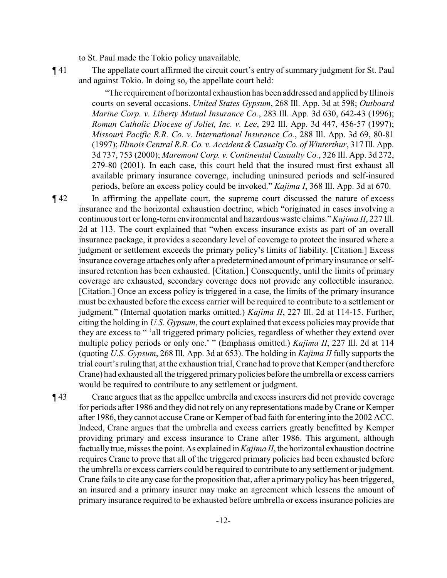to St. Paul made the Tokio policy unavailable.

¶ 41 The appellate court affirmed the circuit court's entry of summary judgment for St. Paul and against Tokio. In doing so, the appellate court held:

> "The requirement of horizontal exhaustion has been addressed and applied byIllinois courts on several occasions. *United States Gypsum*, 268 Ill. App. 3d at 598; *Outboard Marine Corp. v. Liberty Mutual Insurance Co.*, 283 Ill. App. 3d 630, 642-43 (1996); *Roman Catholic Diocese of Joliet, Inc. v. Lee*, 292 Ill. App. 3d 447, 456-57 (1997); *Missouri Pacific R.R. Co. v. International Insurance Co.*, 288 Ill. App. 3d 69, 80-81 (1997); *Illinois Central R.R. Co. v. Accident &Casualty Co. of Winterthur*, 317 Ill. App. 3d 737, 753 (2000); *Maremont Corp. v. Continental Casualty Co.*, 326 Ill. App. 3d 272, 279-80 (2001). In each case, this court held that the insured must first exhaust all available primary insurance coverage, including uninsured periods and self-insured periods, before an excess policy could be invoked." *Kajima I*, 368 Ill. App. 3d at 670.

¶ 42 In affirming the appellate court, the supreme court discussed the nature of excess insurance and the horizontal exhaustion doctrine, which "originated in cases involving a continuous tort or long-term environmental and hazardous waste claims." *Kajima II*, 227 Ill. 2d at 113. The court explained that "when excess insurance exists as part of an overall insurance package, it provides a secondary level of coverage to protect the insured where a judgment or settlement exceeds the primary policy's limits of liability. [Citation.] Excess insurance coverage attaches only after a predetermined amount of primary insurance or selfinsured retention has been exhausted. [Citation.] Consequently, until the limits of primary coverage are exhausted, secondary coverage does not provide any collectible insurance. [Citation.] Once an excess policy is triggered in a case, the limits of the primary insurance must be exhausted before the excess carrier will be required to contribute to a settlement or judgment." (Internal quotation marks omitted.) *Kajima II*, 227 Ill. 2d at 114-15. Further, citing the holding in *U.S. Gypsum*, the court explained that excess policies may provide that they are excess to " 'all triggered primary policies, regardless of whether they extend over multiple policy periods or only one.' " (Emphasis omitted.) *Kajima II*, 227 Ill. 2d at 114 (quoting *U.S. Gypsum*, 268 Ill. App. 3d at 653). The holding in *Kajima II* fully supports the trial court's ruling that, at the exhaustion trial, Crane had to prove that Kemper(and therefore Crane) had exhausted all the triggered primarypolicies before the umbrella or excess carriers would be required to contribute to any settlement or judgment.

¶ 43 Crane argues that as the appellee umbrella and excess insurers did not provide coverage for periods after 1986 and they did not rely on any representations made byCrane or Kemper after 1986, they cannot accuse Crane or Kemper of bad faith for entering into the 2002 ACC. Indeed, Crane argues that the umbrella and excess carriers greatly benefitted by Kemper providing primary and excess insurance to Crane after 1986. This argument, although factually true, misses the point. As explained in *Kajima II*, the horizontal exhaustion doctrine requires Crane to prove that all of the triggered primary policies had been exhausted before the umbrella or excess carriers could be required to contribute to any settlement or judgment. Crane fails to cite any case for the proposition that, after a primary policy has been triggered, an insured and a primary insurer may make an agreement which lessens the amount of primary insurance required to be exhausted before umbrella or excess insurance policies are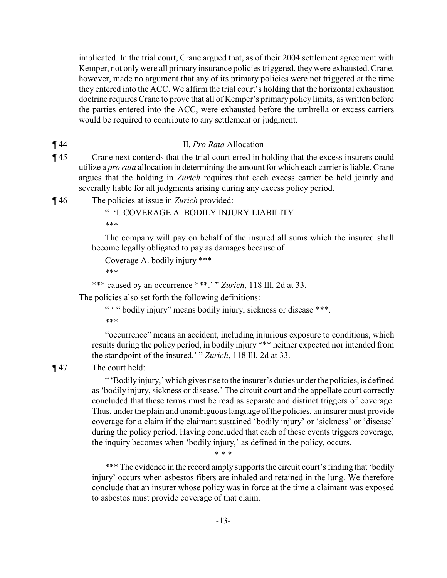implicated. In the trial court, Crane argued that, as of their 2004 settlement agreement with Kemper, not only were all primary insurance policies triggered, they were exhausted. Crane, however, made no argument that any of its primary policies were not triggered at the time they entered into the ACC. We affirm the trial court's holding that the horizontal exhaustion doctrine requires Crane to prove that all of Kemper's primary policy limits, as written before the parties entered into the ACC, were exhausted before the umbrella or excess carriers would be required to contribute to any settlement or judgment.

#### ¶ 44 II. *Pro Rata* Allocation

- ¶ 45 Crane next contends that the trial court erred in holding that the excess insurers could utilize a *pro rata* allocation in determining the amount for which each carrier is liable. Crane argues that the holding in *Zurich* requires that each excess carrier be held jointly and severally liable for all judgments arising during any excess policy period.
- ¶ 46 The policies at issue in *Zurich* provided:

" 'I. COVERAGE A–BODILY INJURY LIABILITY \*\*\*

The company will pay on behalf of the insured all sums which the insured shall become legally obligated to pay as damages because of

Coverage A. bodily injury \*\*\*

\*\*\*

```
*** caused by an occurrence ***.' " Zurich, 118 Ill. 2d at 33.
```
The policies also set forth the following definitions:

```
" "" bodily injury" means bodily injury, sickness or disease ***.
```
\*\*\*

"occurrence" means an accident, including injurious exposure to conditions, which results during the policy period, in bodily injury \*\*\* neither expected nor intended from the standpoint of the insured.' " *Zurich*, 118 Ill. 2d at 33.

¶ 47 The court held:

" 'Bodily injury,' which gives rise to the insurer's duties under the policies, is defined as 'bodily injury, sickness or disease.' The circuit court and the appellate court correctly concluded that these terms must be read as separate and distinct triggers of coverage. Thus, under the plain and unambiguous language of the policies, an insurer must provide coverage for a claim if the claimant sustained 'bodily injury' or 'sickness' or 'disease' during the policy period. Having concluded that each of these events triggers coverage, the inquiry becomes when 'bodily injury,' as defined in the policy, occurs.

\* \* \*

\*\*\* The evidence in the record amply supports the circuit court's finding that 'bodily injury' occurs when asbestos fibers are inhaled and retained in the lung. We therefore conclude that an insurer whose policy was in force at the time a claimant was exposed to asbestos must provide coverage of that claim.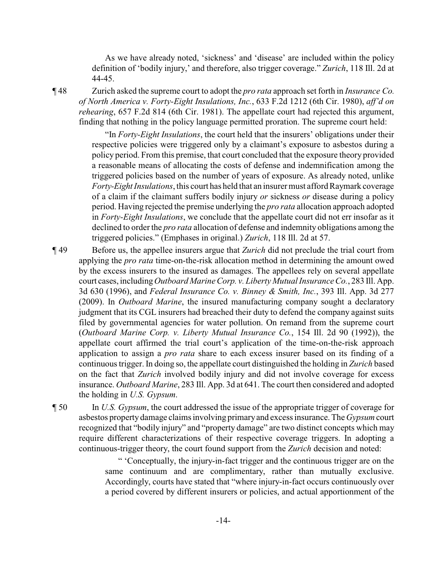As we have already noted, 'sickness' and 'disease' are included within the policy definition of 'bodily injury,' and therefore, also trigger coverage." *Zurich*, 118 Ill. 2d at 44-45.

¶ 48 Zurich asked the supreme court to adopt the *pro rata* approach set forth in *Insurance Co. of North America v. Forty-Eight Insulations, Inc.*, 633 F.2d 1212 (6th Cir. 1980), *aff'd on rehearing*, 657 F.2d 814 (6th Cir. 1981). The appellate court had rejected this argument, finding that nothing in the policy language permitted proration. The supreme court held:

> "In *Forty-Eight Insulations*, the court held that the insurers' obligations under their respective policies were triggered only by a claimant's exposure to asbestos during a policy period. From this premise, that court concluded that the exposure theory provided a reasonable means of allocating the costs of defense and indemnification among the triggered policies based on the number of years of exposure. As already noted, unlike *Forty-Eight Insulations*, this court has held that an insurer must afford Raymark coverage of a claim if the claimant suffers bodily injury *or* sickness *or* disease during a policy period. Having rejected the premise underlying the *pro rata* allocation approach adopted in *Forty-Eight Insulations*, we conclude that the appellate court did not err insofar as it declined to orderthe *pro rata* allocation of defense and indemnity obligations among the triggered policies." (Emphases in original.) *Zurich*, 118 Ill. 2d at 57.

¶ 49 Before us, the appellee insurers argue that *Zurich* did not preclude the trial court from applying the *pro rata* time-on-the-risk allocation method in determining the amount owed by the excess insurers to the insured as damages. The appellees rely on several appellate court cases, including *Outboard Marine Corp. v. Liberty Mutual InsuranceCo.*, 283 Ill. App. 3d 630 (1996), and *Federal Insurance Co. v. Binney & Smith, Inc.*, 393 Ill. App. 3d 277 (2009). In *Outboard Marine*, the insured manufacturing company sought a declaratory judgment that its CGL insurers had breached their duty to defend the company against suits filed by governmental agencies for water pollution. On remand from the supreme court (*Outboard Marine Corp. v. Liberty Mutual Insurance Co.*, 154 Ill. 2d 90 (1992)), the appellate court affirmed the trial court's application of the time-on-the-risk approach application to assign a *pro rata* share to each excess insurer based on its finding of a continuous trigger. In doing so, the appellate court distinguished the holding in *Zurich* based on the fact that *Zurich* involved bodily injury and did not involve coverage for excess insurance. *Outboard Marine*, 283 Ill. App. 3d at 641. The court then considered and adopted the holding in *U.S. Gypsum*.

¶ 50 In *U.S. Gypsum*, the court addressed the issue of the appropriate trigger of coverage for asbestos property damage claims involving primaryand excess insurance. The *Gypsum*court recognized that "bodily injury" and "property damage" are two distinct concepts which may require different characterizations of their respective coverage triggers. In adopting a continuous-trigger theory, the court found support from the *Zurich* decision and noted:

> " 'Conceptually, the injury-in-fact trigger and the continuous trigger are on the same continuum and are complimentary, rather than mutually exclusive. Accordingly, courts have stated that "where injury-in-fact occurs continuously over a period covered by different insurers or policies, and actual apportionment of the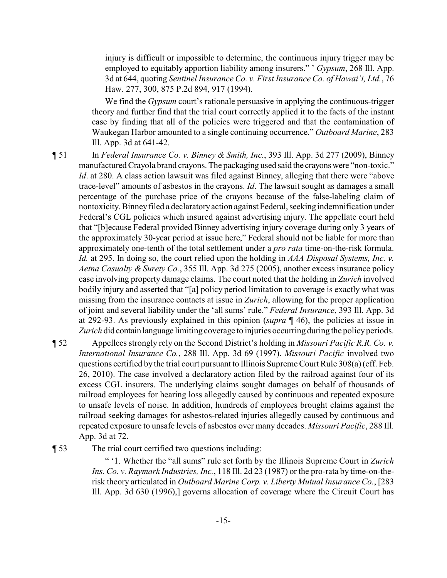injury is difficult or impossible to determine, the continuous injury trigger may be employed to equitably apportion liability among insurers." ' *Gypsum*, 268 Ill. App. 3d at 644, quoting *Sentinel Insurance Co. v. First Insurance Co. of Hawai'i, Ltd.*, 76 Haw. 277, 300, 875 P.2d 894, 917 (1994).

We find the *Gypsum* court's rationale persuasive in applying the continuous-trigger theory and further find that the trial court correctly applied it to the facts of the instant case by finding that all of the policies were triggered and that the contamination of Waukegan Harbor amounted to a single continuing occurrence." *Outboard Marine*, 283 Ill. App. 3d at 641-42.

¶ 51 In *Federal Insurance Co. v. Binney & Smith, Inc.*, 393 Ill. App. 3d 277 (2009), Binney manufactured Crayola brand crayons. The packaging used said the crayonswere "non-toxic." *Id.* at 280. A class action lawsuit was filed against Binney, alleging that there were "above" trace-level" amounts of asbestos in the crayons. *Id*. The lawsuit sought as damages a small percentage of the purchase price of the crayons because of the false-labeling claim of nontoxicity. Binneyfiled a declaratoryaction against Federal, seeking indemnification under Federal's CGL policies which insured against advertising injury. The appellate court held that "[b]ecause Federal provided Binney advertising injury coverage during only 3 years of the approximately 30-year period at issue here," Federal should not be liable for more than approximately one-tenth of the total settlement under a *pro rata* time-on-the-risk formula. *Id.* at 295. In doing so, the court relied upon the holding in *AAA Disposal Systems, Inc. v. Aetna Casualty & Surety Co.*, 355 Ill. App. 3d 275 (2005), another excess insurance policy case involving property damage claims. The court noted that the holding in *Zurich* involved bodily injury and asserted that "[a] policy period limitation to coverage is exactly what was missing from the insurance contacts at issue in *Zurich*, allowing for the proper application of joint and several liability under the 'all sums' rule." *Federal Insurance*, 393 Ill. App. 3d at 292-93. As previously explained in this opinion (*supra* ¶ 46), the policies at issue in Zurich did contain language limiting coverage to injuries occurring during the policy periods.

¶ 52 Appellees strongly rely on the Second District's holding in *Missouri Pacific R.R. Co. v. International Insurance Co.*, 288 Ill. App. 3d 69 (1997). *Missouri Pacific* involved two questions certified by the trial court pursuant to Illinois Supreme Court Rule 308(a)(eff. Feb. 26, 2010). The case involved a declaratory action filed by the railroad against four of its excess CGL insurers. The underlying claims sought damages on behalf of thousands of railroad employees for hearing loss allegedly caused by continuous and repeated exposure to unsafe levels of noise. In addition, hundreds of employees brought claims against the railroad seeking damages for asbestos-related injuries allegedly caused by continuous and repeated exposure to unsafe levels of asbestos over many decades. *Missouri Pacific*, 288 Ill. App. 3d at 72.

¶ 53 The trial court certified two questions including:

" '1. Whether the "all sums" rule set forth by the Illinois Supreme Court in *Zurich Ins. Co. v. Raymark Industries, Inc.*, 118 Ill. 2d 23 (1987) or the pro-rata by time-on-therisk theory articulated in *Outboard Marine Corp. v. Liberty Mutual Insurance Co.*, [283 Ill. App. 3d 630 (1996),] governs allocation of coverage where the Circuit Court has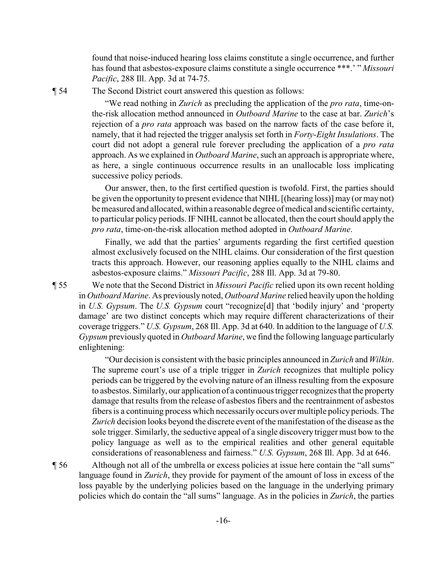found that noise-induced hearing loss claims constitute a single occurrence, and further has found that asbestos-exposure claims constitute a single occurrence \*\*\*.' " *Missouri Pacific*, 288 Ill. App. 3d at 74-75.

¶ 54 The Second District court answered this question as follows:

"We read nothing in *Zurich* as precluding the application of the *pro rata*, time-onthe-risk allocation method announced in *Outboard Marine* to the case at bar. *Zurich*'s rejection of a *pro rata* approach was based on the narrow facts of the case before it, namely, that it had rejected the trigger analysis set forth in *Forty-Eight Insulations*. The court did not adopt a general rule forever precluding the application of a *pro rata* approach. As we explained in *Outboard Marine*, such an approach is appropriate where, as here, a single continuous occurrence results in an unallocable loss implicating successive policy periods.

Our answer, then, to the first certified question is twofold. First, the parties should be given the opportunity to present evidence that NIHL [(hearing loss)] may (or may not) be measured and allocated, within a reasonable degree of medical and scientific certainty, to particular policy periods. IF NIHL cannot be allocated, then the court should apply the *pro rata*, time-on-the-risk allocation method adopted in *Outboard Marine*.

Finally, we add that the parties' arguments regarding the first certified question almost exclusively focused on the NIHL claims. Our consideration of the first question tracts this approach. However, our reasoning applies equally to the NIHL claims and asbestos-exposure claims." *Missouri Pacific*, 288 Ill. App. 3d at 79-80.

¶ 55 We note that the Second District in *Missouri Pacific* relied upon its own recent holding in *Outboard Marine*. As previously noted, *Outboard Marine* relied heavily upon the holding in *U.S. Gypsum*. The *U.S. Gypsum* court "recognize[d] that 'bodily injury' and 'property damage' are two distinct concepts which may require different characterizations of their coverage triggers." *U.S. Gypsum*, 268 Ill. App. 3d at 640. In addition to the language of *U.S. Gypsum* previously quoted in *Outboard Marine*, we find the following language particularly enlightening:

> "Our decision is consistent with the basic principles announced in *Zurich* and *Wilkin*. The supreme court's use of a triple trigger in *Zurich* recognizes that multiple policy periods can be triggered by the evolving nature of an illness resulting from the exposure to asbestos. Similarly, our application of a continuous trigger recognizes that the property damage that results from the release of asbestos fibers and the reentrainment of asbestos fibers is a continuing process which necessarily occurs over multiple policy periods. The *Zurich* decision looks beyond the discrete event of the manifestation of the disease as the sole trigger. Similarly, the seductive appeal of a single discovery trigger must bow to the policy language as well as to the empirical realities and other general equitable considerations of reasonableness and fairness." *U.S. Gypsum*, 268 Ill. App. 3d at 646.

¶ 56 Although not all of the umbrella or excess policies at issue here contain the "all sums" language found in *Zurich*, they provide for payment of the amount of loss in excess of the loss payable by the underlying policies based on the language in the underlying primary policies which do contain the "all sums" language. As in the policies in *Zurich*, the parties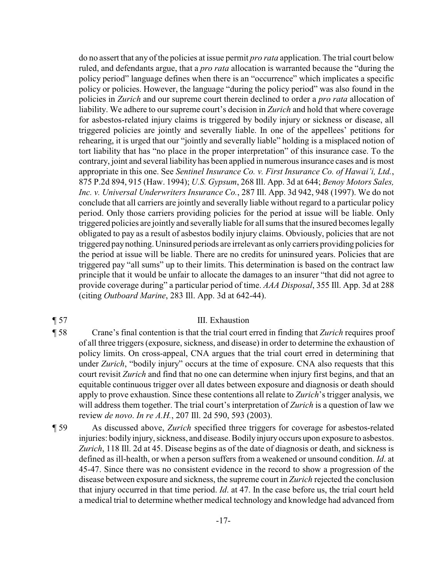do no assert that any of the policies at issue permit *pro rata* application. The trial court below ruled, and defendants argue, that a *pro rata* allocation is warranted because the "during the policy period" language defines when there is an "occurrence" which implicates a specific policy or policies. However, the language "during the policy period" was also found in the policies in *Zurich* and our supreme court therein declined to order a *pro rata* allocation of liability. We adhere to our supreme court's decision in *Zurich* and hold that where coverage for asbestos-related injury claims is triggered by bodily injury or sickness or disease, all triggered policies are jointly and severally liable. In one of the appellees' petitions for rehearing, it is urged that our "jointly and severally liable" holding is a misplaced notion of tort liability that has "no place in the proper interpretation" of this insurance case. To the contrary, joint and several liability has been applied in numerous insurance cases and is most appropriate in this one. See *Sentinel Insurance Co. v. First Insurance Co. of Hawai'i, Ltd.*, 875 P.2d 894, 915 (Haw. 1994); *U.S. Gypsum*, 268 Ill. App. 3d at 644; *Benoy Motors Sales, Inc. v. Universal Underwriters Insurance Co.*, 287 Ill. App. 3d 942, 948 (1997). We do not conclude that all carriers are jointly and severally liable without regard to a particular policy period. Only those carriers providing policies for the period at issue will be liable. Only triggered policies are jointly and severally liable for all sums that the insured becomes legally obligated to pay as a result of asbestos bodily injury claims. Obviously, policies that are not triggered paynothing. Uninsured periods are irrelevant as only carriers providing policies for the period at issue will be liable. There are no credits for uninsured years. Policies that are triggered pay "all sums" up to their limits. This determination is based on the contract law principle that it would be unfair to allocate the damages to an insurer "that did not agree to provide coverage during" a particular period of time. *AAA Disposal*, 355 Ill. App. 3d at 288 (citing *Outboard Marine*, 283 Ill. App. 3d at 642-44).

## ¶ 57 III. Exhaustion

- ¶ 58 Crane's final contention is that the trial court erred in finding that *Zurich* requires proof of all three triggers (exposure, sickness, and disease) in order to determine the exhaustion of policy limits. On cross-appeal, CNA argues that the trial court erred in determining that under *Zurich*, "bodily injury" occurs at the time of exposure. CNA also requests that this court revisit *Zurich* and find that no one can determine when injury first begins, and that an equitable continuous trigger over all dates between exposure and diagnosis or death should apply to prove exhaustion. Since these contentions all relate to *Zurich*'s trigger analysis, we will address them together. The trial court's interpretation of *Zurich* is a question of law we review *de novo*. *In re A.H.*, 207 Ill. 2d 590, 593 (2003).
- ¶ 59 As discussed above, *Zurich* specified three triggers for coverage for asbestos-related injuries: bodily injury, sickness, and disease. Bodily injury occurs upon exposure to asbestos. *Zurich*, 118 Ill. 2d at 45. Disease begins as of the date of diagnosis or death, and sickness is defined as ill-health, or when a person suffers from a weakened or unsound condition. *Id*. at 45-47. Since there was no consistent evidence in the record to show a progression of the disease between exposure and sickness, the supreme court in *Zurich* rejected the conclusion that injury occurred in that time period. *Id*. at 47. In the case before us, the trial court held a medical trial to determine whether medical technology and knowledge had advanced from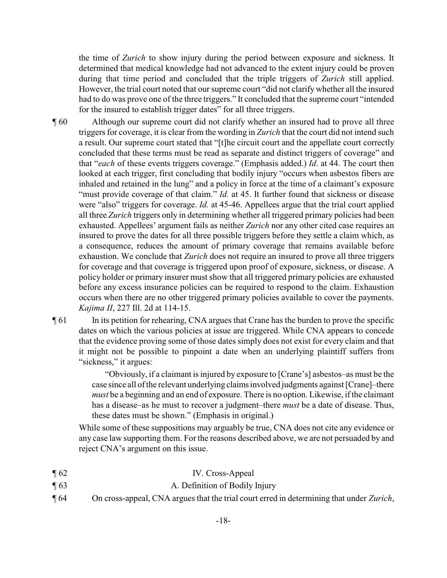the time of *Zurich* to show injury during the period between exposure and sickness. It determined that medical knowledge had not advanced to the extent injury could be proven during that time period and concluded that the triple triggers of *Zurich* still applied. However, the trial court noted that our supreme court "did not clarify whether all the insured had to do was prove one of the three triggers." It concluded that the supreme court "intended for the insured to establish trigger dates" for all three triggers.

- ¶ 60 Although our supreme court did not clarify whether an insured had to prove all three triggers for coverage, it is clear from the wording in *Zurich* that the court did not intend such a result. Our supreme court stated that "[t]he circuit court and the appellate court correctly concluded that these terms must be read as separate and distinct triggers of coverage" and that "*each* of these events triggers coverage." (Emphasis added.) *Id*. at 44. The court then looked at each trigger, first concluding that bodily injury "occurs when asbestos fibers are inhaled and retained in the lung" and a policy in force at the time of a claimant's exposure "must provide coverage of that claim." *Id.* at 45. It further found that sickness or disease were "also" triggers for coverage. *Id.* at 45-46. Appellees argue that the trial court applied all three *Zurich* triggers only in determining whether all triggered primary policies had been exhausted. Appellees' argument fails as neither *Zurich* nor any other cited case requires an insured to prove the dates for all three possible triggers before they settle a claim which, as a consequence, reduces the amount of primary coverage that remains available before exhaustion. We conclude that *Zurich* does not require an insured to prove all three triggers for coverage and that coverage is triggered upon proof of exposure, sickness, or disease. A policy holder or primary insurer must show that all triggered primary policies are exhausted before any excess insurance policies can be required to respond to the claim. Exhaustion occurs when there are no other triggered primary policies available to cover the payments. *Kajima II*, 227 Ill. 2d at 114-15.
- ¶ 61 In its petition for rehearing, CNA argues that Crane has the burden to prove the specific dates on which the various policies at issue are triggered. While CNA appears to concede that the evidence proving some of those dates simply does not exist for every claim and that it might not be possible to pinpoint a date when an underlying plaintiff suffers from "sickness," it argues:

"Obviously, if a claimant is injured by exposure to [Crane's] asbestos–as must be the case since all of the relevant underlying claimsinvolved judgments against [Crane]–there *must* be a beginning and an end of exposure. There is no option. Likewise, if the claimant has a disease–as he must to recover a judgment–there *must* be a date of disease. Thus, these dates must be shown." (Emphasis in original.)

While some of these suppositions may arguably be true, CNA does not cite any evidence or any case law supporting them. For the reasons described above, we are not persuaded by and reject CNA's argument on this issue.

- ¶ 62 IV. Cross-Appeal
- ¶ 63 A. Definition of Bodily Injury
- ¶ 64 On cross-appeal, CNA argues that the trial court erred in determining that under *Zurich*,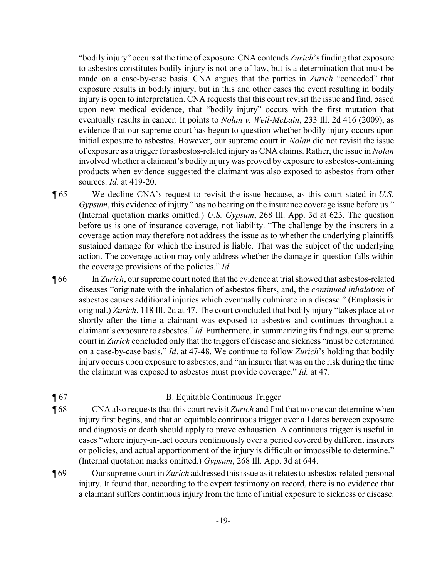"bodily injury" occurs at the time of exposure. CNA contends *Zurich*'s finding that exposure to asbestos constitutes bodily injury is not one of law, but is a determination that must be made on a case-by-case basis. CNA argues that the parties in *Zurich* "conceded" that exposure results in bodily injury, but in this and other cases the event resulting in bodily injury is open to interpretation. CNA requests that this court revisit the issue and find, based upon new medical evidence, that "bodily injury" occurs with the first mutation that eventually results in cancer. It points to *Nolan v. Weil-McLain*, 233 Ill. 2d 416 (2009), as evidence that our supreme court has begun to question whether bodily injury occurs upon initial exposure to asbestos. However, our supreme court in *Nolan* did not revisit the issue of exposure as a trigger for asbestos-related injury as CNA claims. Rather, the issue in *Nolan* involved whether a claimant's bodily injury was proved by exposure to asbestos-containing products when evidence suggested the claimant was also exposed to asbestos from other sources. *Id*. at 419-20.

¶ 65 We decline CNA's request to revisit the issue because, as this court stated in *U.S. Gypsum*, this evidence of injury "has no bearing on the insurance coverage issue before us." (Internal quotation marks omitted.) *U.S. Gypsum*, 268 Ill. App. 3d at 623. The question before us is one of insurance coverage, not liability. "The challenge by the insurers in a coverage action may therefore not address the issue as to whether the underlying plaintiffs sustained damage for which the insured is liable. That was the subject of the underlying action. The coverage action may only address whether the damage in question falls within the coverage provisions of the policies." *Id*.

¶ 66 In *Zurich*, our supreme court noted that the evidence at trial showed that asbestos-related diseases "originate with the inhalation of asbestos fibers, and, the *continued inhalation* of asbestos causes additional injuries which eventually culminate in a disease." (Emphasis in original.) *Zurich*, 118 Ill. 2d at 47. The court concluded that bodily injury "takes place at or shortly after the time a claimant was exposed to asbestos and continues throughout a claimant's exposure to asbestos." *Id*. Furthermore, in summarizing its findings, our supreme court in *Zurich* concluded only that the triggers of disease and sickness "must be determined on a case-by-case basis." *Id*. at 47-48. We continue to follow *Zurich*'s holding that bodily injury occurs upon exposure to asbestos, and "an insurer that was on the risk during the time the claimant was exposed to asbestos must provide coverage." *Id.* at 47.

## ¶ 67 B. Equitable Continuous Trigger

- ¶ 68 CNA also requests that this court revisit *Zurich* and find that no one can determine when injury first begins, and that an equitable continuous trigger over all dates between exposure and diagnosis or death should apply to prove exhaustion. A continuous trigger is useful in cases "where injury-in-fact occurs continuously over a period covered by different insurers or policies, and actual apportionment of the injury is difficult or impossible to determine." (Internal quotation marks omitted.) *Gypsum*, 268 Ill. App. 3d at 644.
- ¶ 69 Our supreme court in *Zurich* addressed this issue as it relates to asbestos-related personal injury. It found that, according to the expert testimony on record, there is no evidence that a claimant suffers continuous injury from the time of initial exposure to sickness or disease.